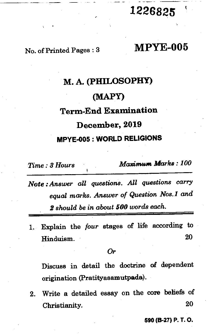## **1226825**

### No. of Printed Pages : 3 **MPYE-005**

# **M. A. (PHILOSOPHY) (MAPY) Term-End Examination December, 2019 MPYE-005 : WORLD RELIGIONS**

*Time : 3 Hours Maximum Marks : 100* 

*Note : Answer all questions. All questions carry equal marks. Answer of Question Nos.1 and 2 should be in about 500 words each.* 

1. Explain the *four* stages of life according to Hinduism. 20

*Or* 

Discuss in detail the doctrine of dependent origination (Pratityasamutpada).

2. Write a detailed essay on the core beliefs of Christianity. 20

**590 (B-27) P. T. 0.**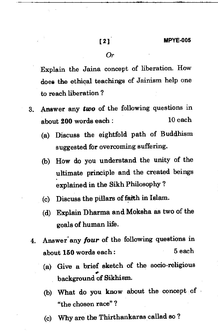Explain the Jaina concept of liberation. How does the ethical teachings of Jainism help one to reach liberation ?

- 3. Answer any *two* of the following questions in about 200 words each : 10 each
	- (a) Discuss the eightfold path of Buddhism suggested for overcoming suffering.
	- (b) How do you understand the unity of the ultimate principle and the created beings explained in the Sikh Philosophy ?
	- (c) Discuss the pillars of faith in Islam.
	- (d) Explain Dharma and Moksha as two of the goals of human life.
	- 4. Answer<sup>'</sup>any *four* of the following questions in about 150 words each : 5 each
		- (a) Give a brief sketch of the socio-religious background of Sikhism.
		- (b) What do you know about the concept of "the chosen race" ?
		- (c) Why are the Thirthankaras called so ?